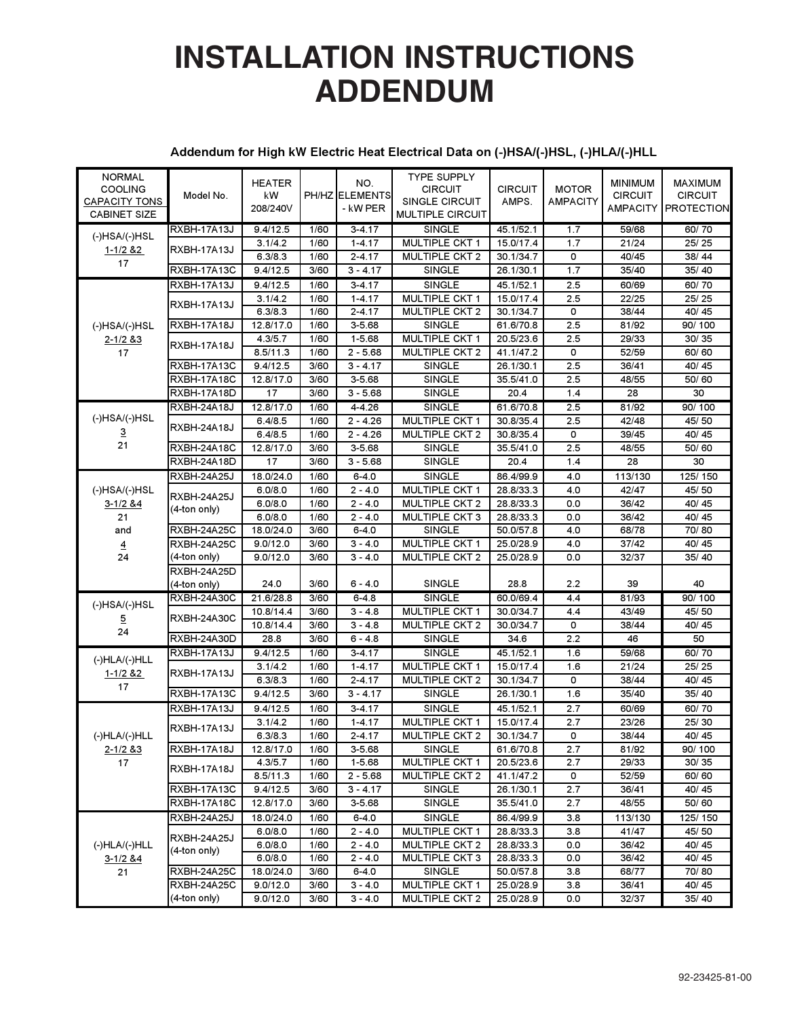# **INSTALLATION INSTRUCTIONS ADDENDUM**

### **Addendum for High kW Electric Heat Electrical Data on (-)HSA/(-)HSL, (-)HLA/(-)HLL**

| <b>NORMAL</b><br><b>COOLING</b><br><b>CAPACITY TONS</b><br><b>CABINET SIZE</b> | Model No.                         | <b>HEATER</b><br>kW<br>208/240V |              | NO.<br>PH/HZ ELEMENTS<br>- kW PER | <b>TYPE SUPPLY</b><br><b>CIRCUIT</b><br>SINGLE CIRCUIT<br><b>MULTIPLE CIRCUIT</b> | <b>CIRCUIT</b><br>AMPS. | <b>MOTOR</b><br><b>AMPACITY</b> | <b>MINIMUM</b><br><b>CIRCUIT</b><br>AMPACITY | <b>MAXIMUM</b><br><b>CIRCUIT</b><br><b>PROTECTION</b> |
|--------------------------------------------------------------------------------|-----------------------------------|---------------------------------|--------------|-----------------------------------|-----------------------------------------------------------------------------------|-------------------------|---------------------------------|----------------------------------------------|-------------------------------------------------------|
| $(-)$ HSA $/(-)$ HSL                                                           | <b>RXBH-17A13J</b><br>RXBH-17A13J | 9.4/12.5<br>3.1/4.2             | 1/60<br>1/60 | $3 - 4.17$<br>$1 - 4.17$          | <b>SINGLE</b><br><b>MULTIPLE CKT 1</b>                                            | 45.1/52.1<br>15.0/17.4  | 1.7<br>1.7                      | 59/68<br>21/24                               | 60/70<br>25/25                                        |
| $1 - 1/2$ & 2<br>17                                                            |                                   | 6.3/8.3                         | 1/60         | $2 - 4.17$                        | <b>MULTIPLE CKT 2</b>                                                             | 30.1/34.7               | 0                               | 40/45                                        | 38/44                                                 |
|                                                                                | RXBH-17A13C<br>RXBH-17A13J        | 9.4/12.5<br>9.4/12.5            | 3/60<br>1/60 | $3 - 4.17$<br>$3 - 4.17$          | SINGLE<br><b>SINGLE</b>                                                           | 26.1/30.1<br>45.1/52.1  | 1.7<br>2.5                      | 35/40<br>60/69                               | 35/40<br>60/70                                        |
|                                                                                |                                   | 3.1/4.2                         | 1/60         | $1 - 4.17$                        | <b>MULTIPLE CKT 1</b>                                                             | 15.0/17.4               | 2.5                             | 22/25                                        | 25/25                                                 |
| $(-)$ HSA/ $(-)$ HSL                                                           | <b>RXBH-17A13J</b>                | 6.3/8.3                         | 1/60         | $2 - 4.17$                        | MULTIPLE CKT 2                                                                    | 30.1/34.7               | 0                               | 38/44                                        | 40/45                                                 |
|                                                                                | RXBH-17A18J                       | 12.8/17.0                       | 1/60         | 3-5.68                            | <b>SINGLE</b>                                                                     | 61.6/70.8               | 2.5                             | 81/92                                        | 90/100                                                |
| $2 - 1/2$ & 3                                                                  |                                   | 4.3/5.7                         | 1/60         | 1-5.68                            | <b>MULTIPLE CKT 1</b>                                                             | 20.5/23.6               | 2.5                             | 29/33                                        | 30/35                                                 |
| 17                                                                             | RXBH-17A18J                       | 8.5/11.3                        | 1/60         | $2 - 5.68$                        | <b>MULTIPLE CKT 2</b>                                                             | 41.1/47.2               | 0                               | 52/59                                        | 60/60                                                 |
|                                                                                | RXBH-17A13C                       | 9.4/12.5                        | 3/60         | $3 - 4.17$                        | <b>SINGLE</b>                                                                     | 26.1/30.1               | 2.5                             | 36/41                                        | 40/45                                                 |
|                                                                                | RXBH-17A18C                       | 12.8/17.0                       | 3/60         | 3-5.68                            | SINGLE                                                                            | 35.5/41.0               | 2.5                             | 48/55                                        | 50/60                                                 |
|                                                                                | RXBH-17A18D                       | 17                              | 3/60         | $3 - 5.68$                        | <b>SINGLE</b>                                                                     | 20.4                    | 1.4                             | 28                                           | 30                                                    |
|                                                                                | RXBH-24A18J                       | 12.8/17.0                       | 1/60         | 4-4.26                            | <b>SINGLE</b>                                                                     | 61.6/70.8               | 2.5                             | 81/92                                        | 90/100                                                |
| $(-)$ HSA/ $(-)$ HSL                                                           | <b>RXBH-24A18J</b>                | 6.4/8.5                         | 1/60         | $2 - 4.26$                        | <b>MULTIPLE CKT 1</b>                                                             | 30.8/35.4               | 2.5                             | 42/48                                        | 45/50                                                 |
| $\overline{3}$                                                                 |                                   | 6.4/8.5                         | 1/60         | $2 - 4.26$                        | <b>MULTIPLE CKT 2</b>                                                             | 30.8/35.4               | 0                               | 39/45                                        | 40/45                                                 |
| 21                                                                             | RXBH-24A18C                       | 12.8/17.0                       | 3/60         | 3-5.68                            | <b>SINGLE</b>                                                                     | 35.5/41.0               | 2.5                             | 48/55                                        | 50/60                                                 |
|                                                                                | RXBH-24A18D                       | 17                              | 3/60         | $3 - 5.68$                        | SINGLE                                                                            | 20.4                    | 1.4                             | 28                                           | 30                                                    |
|                                                                                | <b>RXBH-24A25J</b>                | 18.0/24.0                       | 1/60         | $6 - 4.0$                         | <b>SINGLE</b>                                                                     | 86.4/99.9               | 4.0                             | 113/130                                      | 125/150                                               |
| $(-)$ HSA/ $(-)$ HSL                                                           | RXBH-24A25J<br>(4-ton only)       | 6.0/8.0                         | 1/60         | $2 - 4.0$                         | <b>MULTIPLE CKT 1</b>                                                             | 28.8/33.3               | 4.0                             | 42/47                                        | 45/50                                                 |
| $3 - 1/2$ & 4                                                                  |                                   | 6.0/8.0                         | 1/60         | $2 - 4.0$                         | <b>MULTIPLE CKT 2</b><br><b>MULTIPLE CKT3</b>                                     | 28.8/33.3               | 0.0                             | 36/42                                        | 40/45                                                 |
| 21<br>and                                                                      | RXBH-24A25C                       | 6.0/8.0<br>18.0/24.0            | 1/60<br>3/60 | $2 - 4.0$<br>$6 - 4.0$            | SINGLE                                                                            | 28.8/33.3<br>50.0/57.8  | 0.0<br>4.0                      | 36/42<br>68/78                               | 40/45<br>70/80                                        |
|                                                                                | <b>RXBH-24A25C</b>                | 9.0/12.0                        | 3/60         | $3 - 4.0$                         | <b>MULTIPLE CKT 1</b>                                                             | 25.0/28.9               | 4.0                             | 37/42                                        | 40/45                                                 |
| $\overline{4}$<br>24                                                           | (4-ton only)                      | 9.0/12.0                        | 3/60         | $3 - 4.0$                         | <b>MULTIPLE CKT 2</b>                                                             | 25.0/28.9               | 0.0                             | 32/37                                        | 35/40                                                 |
|                                                                                | RXBH-24A25D                       |                                 |              |                                   |                                                                                   |                         |                                 |                                              |                                                       |
|                                                                                | (4-ton only)                      | 24.0                            | 3/60         | $6 - 4.0$                         | <b>SINGLE</b>                                                                     | 28.8                    | 2.2                             | 39                                           | 40                                                    |
|                                                                                | RXBH-24A30C                       | 21.6/28.8                       | 3/60         | $6 - 4.8$                         | SINGLE                                                                            | 60.0/69.4               | 4.4                             | 81/93                                        | 90/100                                                |
| (-)HSA/(-)HSL                                                                  |                                   | 10.8/14.4                       | 3/60         | $3 - 4.8$                         | MULTIPLE CKT 1                                                                    | 30.0/34.7               | 4.4                             | 43/49                                        | 45/50                                                 |
| 5                                                                              | RXBH-24A30C                       | 10.8/14.4                       | 3/60         | $3 - 4.8$                         | <b>MULTIPLE CKT 2</b>                                                             | 30.0/34.7               | 0                               | 38/44                                        | 40/45                                                 |
| 24                                                                             | RXBH-24A30D                       | 28.8                            | 3/60         | $6 - 4.8$                         | SINGLE                                                                            | 34.6                    | 2.2                             | 46                                           | 50                                                    |
|                                                                                | <b>RXBH-17A13J</b>                | 9.4/12.5                        | 1/60         | $3 - 4.17$                        | <b>SINGLE</b>                                                                     | 45.1/52.1               | 1.6                             | 59/68                                        | 60/70                                                 |
| $(-)HLA/(-)HLL$<br>$1 - 1/2$ & 2                                               | RXBH-17A13J                       | 3.1/4.2                         | 1/60         | $1 - 4.17$                        | <b>MULTIPLE CKT 1</b>                                                             | 15.0/17.4               | 1.6                             | 21/24                                        | 25/25                                                 |
| 17                                                                             |                                   | 6.3/8.3                         | 1/60         | $2 - 4.17$                        | <b>MULTIPLE CKT 2</b>                                                             | 30.1/34.7               | 0                               | 38/44                                        | 40/45                                                 |
|                                                                                | RXBH-17A13C                       | 9.4/12.5                        | 3/60         | $3 - 4.17$                        | SINGLE                                                                            | 26.1/30.1               | 1.6                             | 35/40                                        | 35/40                                                 |
|                                                                                | <b>RXBH-17A13J</b>                | 9.4/12.5                        | 1/60         | $3 - 4.17$                        | <b>SINGLE</b>                                                                     | 45.1/52.1               | 2.7                             | 60/69                                        | 60/70                                                 |
|                                                                                | RXBH-17A13J                       | 3.1/4.2                         | 1/60         | $1 - 4.17$                        | <b>MULTIPLE CKT 1</b>                                                             | 15.0/17.4               | 2.7                             | 23/26                                        | 25/30                                                 |
| $(-)HLA/(-)HLL$                                                                |                                   | 6.3/8.3                         | 1/60         | $2 - 4.17$                        | <b>MULTIPLE CKT 2</b>                                                             | 30.1/34.7               | 0                               | 38/44                                        | 40/45                                                 |
| $2 - 1/2$ & 3                                                                  | <b>RXBH-17A18J</b>                | 12.8/17.0                       | 1/60         | 3-5.68                            | SINGLE                                                                            | 61.6/70.8               | 2.7                             | 81/92                                        | 90/100                                                |
| 17                                                                             | RXBH-17A18J                       | 4.3/5.7                         | 1/60         | 1-5.68                            | MULTIPLE CKT 1                                                                    | 20.5/23.6               | 2.7                             | 29/33                                        | 30/35                                                 |
|                                                                                |                                   | 8.5/11.3                        | 1/60         | $2 - 5.68$                        | <b>MULTIPLE CKT 2</b>                                                             | 41.1/47.2               | 0                               | 52/59                                        | 60/60                                                 |
|                                                                                | RXBH-17A13C<br>RXBH-17A18C        | 9.4/12.5<br>12.8/17.0           | 3/60<br>3/60 | $3 - 4.17$<br>3-5.68              | <b>SINGLE</b><br>SINGLE                                                           | 26.1/30.1<br>35.5/41.0  | 2.7<br>2.7                      | 36/41<br>48/55                               | 40/45<br>50/60                                        |
|                                                                                |                                   | 18.0/24.0                       | 1/60         | $6 - 4.0$                         | <b>SINGLE</b>                                                                     | 86.4/99.9               | 3.8                             | 113/130                                      | 125/150                                               |
|                                                                                | RXBH-24A25J                       | 6.0/8.0                         | 1/60         | $2 - 4.0$                         | MULTIPLE CKT 1                                                                    | 28.8/33.3               | 3.8                             | 41/47                                        | 45/50                                                 |
| $(-)HLA/(-)HLL$                                                                | RXBH-24A25J                       | 6.0/8.0                         | 1/60         | $2 - 4.0$                         | MULTIPLE CKT 2                                                                    | 28.8/33.3               | 0.0                             | 36/42                                        | 40/45                                                 |
| 3-1/2 & 4                                                                      | (4-ton only)                      | 6.0/8.0                         | 1/60         | $2 - 4.0$                         | MULTIPLE CKT3                                                                     | 28.8/33.3               | 0.0                             | 36/42                                        | 40/45                                                 |
| 21                                                                             | <b>RXBH-24A25C</b>                | 18.0/24.0                       | 3/60         | $6 - 4.0$                         | SINGLE                                                                            | 50.0/57.8               | 3.8                             | 68/77                                        | 70/80                                                 |
|                                                                                | RXBH-24A25C                       | 9.0/12.0                        | 3/60         | $3 - 4.0$                         | MULTIPLE CKT 1                                                                    | 25.0/28.9               | 3.8                             | 36/41                                        | 40/45                                                 |
|                                                                                | (4-ton only)                      | 9.0/12.0                        | 3/60         | $3 - 4.0$                         | MULTIPLE CKT 2                                                                    | 25.0/28.9               | 0.0                             | 32/37                                        | 35/40                                                 |